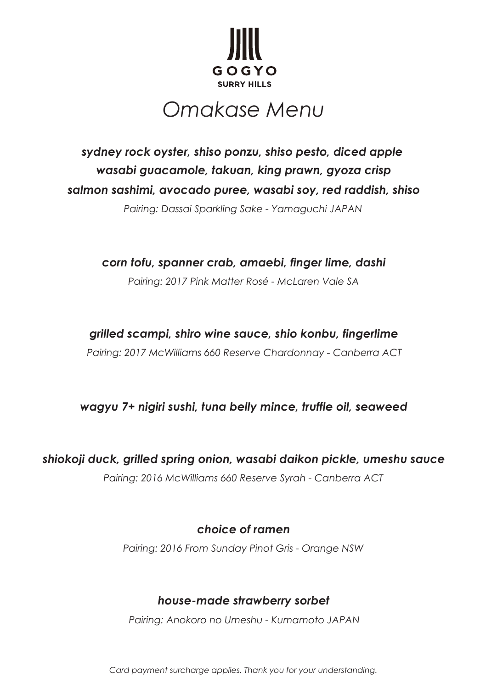

# *Omakase Menu*

*salmon sashimi, avocado puree, wasabi soy, red raddish, shiso wasabi guacamole, takuan, king prawn, gyoza crisp sydney rock oyster, shiso ponzu, shiso pesto, diced apple* 

*Pairing: Dassai Sparkling Sake - Yamaguchi JAPAN*

*Pairing: 2017 Pink Matter Rosé - McLaren Vale SA corn tofu, spanner crab, amaebi, finger lime, dashi*

## *grilled scampi, shiro wine sauce, shio konbu, fingerlime*

*Pairing: 2017 McWilliams 660 Reserve Chardonnay - Canberra ACT*

## *wagyu 7+ nigiri sushi, tuna belly mince, truffle oil, seaweed*

*shiokoji duck, grilled spring onion, wasabi daikon pickle, umeshu sauce*

*Pairing: 2016 McWilliams 660 Reserve Syrah - Canberra ACT*

# *choice of ramen*

*Pairing: 2016 From Sunday Pinot Gris - Orange NSW*

# *house-made strawberry sorbet*

*Pairing: Anokoro no Umeshu - Kumamoto JAPAN*

*Card payment surcharge applies. Thank you for your understanding.*